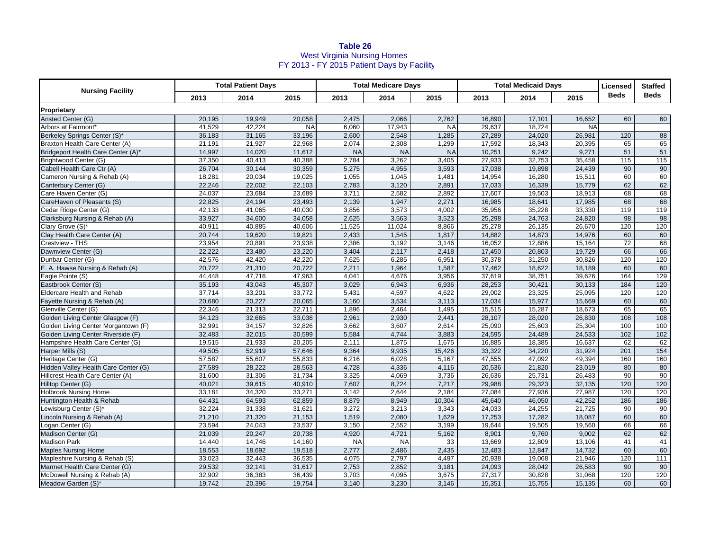## **Table 26** West Virginia Nursing Homes FY 2013 - FY 2015 Patient Days by Facility

| <b>Nursing Facility</b>              | <b>Total Patient Days</b> |        |           | <b>Total Medicare Days</b> |           |           | <b>Total Medicaid Days</b> |        |           | Licensed    | <b>Staffed</b> |
|--------------------------------------|---------------------------|--------|-----------|----------------------------|-----------|-----------|----------------------------|--------|-----------|-------------|----------------|
|                                      | 2013                      | 2014   | 2015      | 2013                       | 2014      | 2015      | 2013                       | 2014   | 2015      | <b>Beds</b> | <b>Beds</b>    |
| Proprietary                          |                           |        |           |                            |           |           |                            |        |           |             |                |
| Ansted Center (G)                    | 20,195                    | 19,949 | 20,058    | 2,475                      | 2,066     | 2,762     | 16,890                     | 17,101 | 16,652    | 60          | 60             |
| Arbors at Fairmont <sup>®</sup>      | 41,529                    | 42,224 | <b>NA</b> | 6,060                      | 17,943    | <b>NA</b> | 29,637                     | 18,724 | <b>NA</b> |             |                |
| Berkeley Springs Center (S)*         | 36,183                    | 31,165 | 33,196    | 2,600                      | 2,548     | 1,285     | 27,289                     | 24,020 | 26,981    | 120         | 88             |
| Braxton Health Care Center (A)       | 21,191                    | 21,927 | 22,968    | 2,074                      | 2,308     | 1,299     | 17,592                     | 18,343 | 20,395    | 65          | 65             |
| Bridgeport Health Care Center (A)*   | 14,997                    | 14,020 | 11,612    | <b>NA</b>                  | <b>NA</b> | <b>NA</b> | 10,251                     | 9,242  | 9,271     | 51          | 51             |
| Brightwood Center (G)                | 37,350                    | 40,413 | 40,388    | 2,784                      | 3,262     | 3,405     | 27,933                     | 32,753 | 35,458    | 115         | 115            |
| Cabell Health Care Ctr (A)           | 26,704                    | 30,144 | 30,359    | 5,275                      | 4,955     | 3,593     | 17,038                     | 19,898 | 24,439    | 90          | 90             |
| Cameron Nursing & Rehab (A)          | 18,281                    | 20,034 | 19,025    | 1,055                      | 1,045     | 1,481     | 14,954                     | 16,280 | 15,511    | 60          | 60             |
| Canterbury Center (G)                | 22,246                    | 22,002 | 22,103    | 2,783                      | 3,120     | 2,891     | 17,033                     | 16,339 | 15,779    | 62          | 62             |
| Care Haven Center (G)                | 24,037                    | 23,684 | 23,689    | 3,711                      | 2,582     | 2,892     | 17,607                     | 19,503 | 18,913    | 68          | 68             |
| CareHaven of Pleasants (S)           | 22,825                    | 24,194 | 23,493    | 2,139                      | 1,947     | 2,271     | 16,985                     | 18,641 | 17,985    | 68          | 68             |
| Cedar Ridge Center (G)               | 42,133                    | 41,065 | 40,030    | 3,856                      | 3,573     | 4,002     | 35,956                     | 35,228 | 33,330    | 119         | 119            |
| Clarksburg Nursing & Rehab (A)       | 33,927                    | 34,600 | 34,058    | 2,625                      | 3,563     | 3,523     | 25,298                     | 24,763 | 24,820    | 98          | 98             |
| Clary Grove (S)*                     | 40,911                    | 40,885 | 40,606    | 11,525                     | 11,024    | 8,866     | 25,278                     | 26,135 | 26,670    | 120         | 120            |
| Clay Health Care Center (A)          | 20,744                    | 19,620 | 19,821    | 2,433                      | 1,545     | 1,817     | 14,882                     | 14,873 | 14,976    | 60          | 60             |
| Crestview - THS                      | 23,954                    | 20,891 | 23,938    | 2,386                      | 3,192     | 3,146     | 16,052                     | 12,886 | 15,164    | 72          | 68             |
| Dawnview Center (G)                  | 22.222                    | 23,480 | 23,220    | 3.404                      | 2,117     | 2,418     | 17.450                     | 20,803 | 19.729    | 66          | 66             |
| Dunbar Center (G)                    | 42,576                    | 42,420 | 42,220    | 7,625                      | 6,285     | 6,951     | 30,378                     | 31,250 | 30,826    | 120         | 120            |
| E. A. Hawse Nursing & Rehab (A)      | 20,722                    | 21,310 | 20,722    | 2,211                      | 1,964     | 1,587     | 17,462                     | 18,622 | 18,189    | 60          | 60             |
| Eagle Pointe (S)                     | 44,448                    | 47,716 | 47,963    | 4,041                      | 4,676     | 3,956     | 37,619                     | 38,751 | 39,626    | 164         | 129            |
| Eastbrook Center (S)                 | 35,193                    | 43,043 | 45,307    | 3,029                      | 6,943     | 6,936     | 28,253                     | 30,421 | 30,133    | 184         | 120            |
| <b>Eldercare Health and Rehab</b>    | 37,714                    | 33,201 | 33,772    | 5,431                      | 4,597     | 4,622     | 29,002                     | 23,325 | 25,095    | 120         | 120            |
| Fayette Nursing & Rehab (A)          | 20,680                    | 20,227 | 20,065    | 3,160                      | 3,534     | 3,113     | 17,034                     | 15,977 | 15,669    | 60          | 60             |
| Glenville Center (G)                 | 22,346                    | 21,313 | 22,711    | 1,896                      | 2,464     | 1,495     | 15,515                     | 15,287 | 18,673    | 65          | 65             |
| Golden Living Center Glasgow (F)     | 34,123                    | 32,665 | 33,038    | 2,961                      | 2,930     | 2,441     | 28,107                     | 28,020 | 26,830    | 108         | 108            |
| Golden Living Center Morgantown (F)  | 32,991                    | 34,157 | 32,826    | 3,662                      | 3,607     | 2,614     | 25,090                     | 25,603 | 25,304    | 100         | 100            |
| Golden Living Center Riverside (F)   | 32,483                    | 32,015 | 30,599    | 5,584                      | 4,744     | 3,883     | 24,595                     | 24,489 | 24,533    | 102         | 102            |
| Hampshire Health Care Center (G)     | 19,515                    | 21,933 | 20,205    | 2,111                      | 1,875     | 1,675     | 16,885                     | 18,385 | 16,637    | 62          | 62             |
| Harper Mills (S)                     | 49,505                    | 52,919 | 57,646    | 9,364                      | 9,935     | 15,426    | 33,322                     | 34,220 | 31,924    | 201         | 154            |
| Heritage Center (G)                  | 57,587                    | 55,607 | 55,833    | 6,216                      | 6,028     | 5,167     | 47,555                     | 47,092 | 49,394    | 160         | 160            |
| Hidden Valley Health Care Center (G) | 27,589                    | 28,222 | 28,563    | 4,728                      | 4,336     | 4,116     | 20,536                     | 21,820 | 23,019    | 80          | 80             |
| Hillcrest Health Care Center (A)     | 31,600                    | 31,306 | 31,734    | 3,325                      | 4,069     | 3,736     | 26,636                     | 25,731 | 26,483    | 90          | 90             |
| Hilltop Center (G)                   | 40,021                    | 39,615 | 40,910    | 7,607                      | 8,724     | 7,217     | 29,988                     | 29,323 | 32,135    | 120         | 120            |
| <b>Holbrook Nursing Home</b>         | 33,181                    | 34,320 | 33,271    | 3,142                      | 2,644     | 2,184     | 27,084                     | 27,936 | 27,987    | 120         | 120            |
| Huntington Health & Rehab            | 64,431                    | 64,593 | 62,859    | 8,879                      | 8,949     | 10,304    | 45,640                     | 46,050 | 42,252    | 186         | 186            |
| ewisburg Center (S)*                 | 32,224                    | 31,338 | 31,621    | 3,272                      | 3,213     | 3,343     | 24,033                     | 24,255 | 21,725    | 90          | 90             |
| Lincoln Nursing & Rehab (A)          | 21,210                    | 21,320 | 21,153    | 1,519                      | 2,080     | 1,629     | 17,253                     | 17,282 | 18,087    | 60          | 60             |
| Logan Center (G)                     | 23,594                    | 24,043 | 23,537    | 3,150                      | 2,552     | 3,199     | 19,644                     | 19,505 | 19,560    | 66          | 66             |
| Madison Center (G)                   | 21,039                    | 20,247 | 20,738    | 4,920                      | 4,721     | 5,162     | 8,901                      | 9,760  | 9,002     | 62          | 62             |
| <b>Madison Park</b>                  | 14,440                    | 14,746 | 14,160    | <b>NA</b>                  | <b>NA</b> | 33        | 13,669                     | 12,809 | 13,106    | 41          | 41             |
| <b>Maples Nursing Home</b>           | 18,553                    | 18,692 | 19,518    | 2,777                      | 2,486     | 2,435     | 12,483                     | 12,847 | 14,732    | 60          | 60             |
| Mapleshire Nursing & Rehab (S)       | 33,023                    | 32,443 | 36,535    | 4,075                      | 2,797     | 4,497     | 20,938                     | 19,068 | 21,946    | 120         | 111            |
| Marmet Health Care Center (G)        | 29,532                    | 32,141 | 31,617    | 2,753                      | 2,852     | 3,181     | 24,093                     | 28,042 | 26,583    | 90          | 90             |
| McDowell Nursing & Rehab (A)         | 32,902                    | 36,383 | 36,439    | 3,703                      | 4,095     | 3,675     | 27,317                     | 30,828 | 31,068    | 120         | 120            |
| Meadow Garden (S)*                   | 19,742                    | 20,396 | 19,754    | 3,140                      | 3,230     | 3,146     | 15,351                     | 15,755 | 15,135    | 60          | 60             |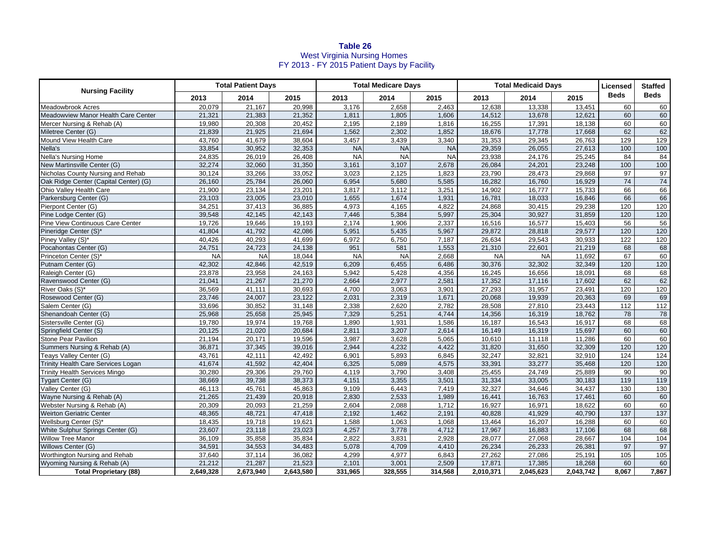## **Table 26** West Virginia Nursing Homes FY 2013 - FY 2015 Patient Days by Facility

| <b>Nursing Facility</b>               | <b>Total Patient Days</b> |           |           | <b>Total Medicare Days</b> |           |           | <b>Total Medicaid Days</b> |           |           | Licensed         | <b>Staffed</b> |
|---------------------------------------|---------------------------|-----------|-----------|----------------------------|-----------|-----------|----------------------------|-----------|-----------|------------------|----------------|
|                                       | 2013                      | 2014      | 2015      | 2013                       | 2014      | 2015      | 2013                       | 2014      | 2015      | <b>Beds</b>      | <b>Beds</b>    |
| Meadowbrook Acres                     | 20,079                    | 21,167    | 20,998    | 3,176                      | 2,658     | 2,463     | 12,638                     | 13,338    | 13,451    | 60               | 60             |
| Meadowview Manor Health Care Center   | 21,321                    | 21,383    | 21,352    | 1,811                      | 1,805     | 1,606     | 14,512                     | 13,678    | 12,621    | 60               | 60             |
| Mercer Nursing & Rehab (A)            | 19,980                    | 20,308    | 20,452    | 2,195                      | 2,189     | 1,816     | 16,255                     | 17,391    | 18,138    | 60               | 60             |
| Miletree Center (G)                   | 21,839                    | 21,925    | 21,694    | 1,562                      | 2,302     | 1,852     | 18,676                     | 17,778    | 17,668    | 62               | 62             |
| Mound View Health Care                | 43,760                    | 41,679    | 38,604    | 3,457                      | 3,439     | 3,340     | 31,353                     | 29,345    | 26,763    | 129              | 129            |
| Nella's                               | 33,854                    | 30,952    | 32,353    | <b>NA</b>                  | <b>NA</b> | <b>NA</b> | 29,359                     | 26,055    | 27,613    | 100              | 100            |
| <b>Nella's Nursing Home</b>           | 24,835                    | 26,019    | 26,408    | <b>NA</b>                  | <b>NA</b> | <b>NA</b> | 23,938                     | 24,176    | 25,245    | 84               | 84             |
| New Martinsville Center (G)           | 32,274                    | 32,060    | 31,350    | 3,161                      | 3,107     | 2,678     | 26,084                     | 24,201    | 23,248    | 100              | 100            |
| Nicholas County Nursing and Rehab     | 30,124                    | 33,266    | 33,052    | 3,023                      | 2,125     | 1,823     | 23,790                     | 28,473    | 29,868    | 97               | 97             |
| Oak Ridge Center (Capital Center) (G) | 26,160                    | 25,784    | 26,060    | 6,954                      | 5,680     | 5,585     | 16,282                     | 16,760    | 16,929    | 74               | 74             |
| Ohio Valley Health Care               | 21,900                    | 23,134    | 23,201    | 3,817                      | 3,112     | 3,251     | 14,902                     | 16,777    | 15,733    | 66               | 66             |
| Parkersburg Center (G)                | 23,103                    | 23,005    | 23,010    | 1,655                      | 1,674     | 1,931     | 16,781                     | 18,033    | 16,846    | 66               | 66             |
| Pierpont Center (G)                   | 34,251                    | 37,413    | 36,885    | 4,973                      | 4,165     | 4,822     | 24,868                     | 30,415    | 29,238    | 120              | 120            |
| Pine Lodge Center (G)                 | 39,548                    | 42,145    | 42,143    | 7,446                      | 5,384     | 5,997     | 25,304                     | 30,927    | 31,859    | 120              | 120            |
| Pine View Continuous Care Center      | 19,726                    | 19,646    | 19,193    | 2,174                      | 1,906     | 2,337     | 16,516                     | 16,577    | 15,403    | 56               | 56             |
| Pineridge Center (S)*                 | 41.804                    | 41,792    | 42,086    | 5,951                      | 5,435     | 5,967     | 29,872                     | 28,818    | 29,577    | 120              | 120            |
| Piney Valley (S)*                     | 40,426                    | 40,293    | 41,699    | 6,972                      | 6,750     | 7,187     | 26,634                     | 29,543    | 30,933    | 122              | 120            |
| Pocahontas Center (G)                 | 24,751                    | 24,723    | 24,138    | 951                        | 581       | 1,553     | 21,310                     | 22,601    | 21,219    | 68               | 68             |
| Princeton Center (S)*                 | <b>NA</b>                 | <b>NA</b> | 18,044    | <b>NA</b>                  | <b>NA</b> | 2,668     | <b>NA</b>                  | <b>NA</b> | 11,692    | 67               | 60             |
| Putnam Center (G)                     | 42,302                    | 42,846    | 42,519    | 6,209                      | 6,455     | 6,486     | 30,376                     | 32,302    | 32,349    | 120              | 120            |
| Raleigh Center (G)                    | 23,878                    | 23,958    | 24,163    | 5,942                      | 5,428     | 4,356     | 16,245                     | 16,656    | 18,091    | 68               | 68             |
| Ravenswood Center (G)                 | 21,041                    | 21,267    | 21,270    | 2,664                      | 2,977     | 2,581     | 17,352                     | 17,116    | 17,602    | 62               | 62             |
| River Oaks (S)*                       | 36,569                    | 41,111    | 30,693    | 4,700                      | 3,063     | 3,901     | 27,293                     | 31,957    | 23,491    | 120              | 120            |
| Rosewood Center (G)                   | 23,746                    | 24,007    | 23,122    | 2,031                      | 2,319     | 1,671     | 20,068                     | 19,939    | 20,363    | 69               | 69             |
| Salem Center (G)                      | 33,696                    | 30,852    | 31,148    | 2,338                      | 2,620     | 2,782     | 28,508                     | 27,810    | 23,443    | 112              | $112$          |
| Shenandoah Center (G)                 | 25,968                    | 25,658    | 25,945    | 7,329                      | 5,251     | 4,744     | 14,356                     | 16,319    | 18,762    | 78               | 78             |
| Sistersville Center (G)               | 19,780                    | 19,974    | 19,768    | 1,890                      | 1,931     | 1,586     | 16,187                     | 16,543    | 16,917    | 68               | 68             |
| Springfield Center (S)                | 20,125                    | 21,020    | 20,684    | 2,811                      | 3,207     | 2,614     | 16,149                     | 16,319    | 15,697    | 60               | 60             |
| <b>Stone Pear Pavilion</b>            | 21,194                    | 20,171    | 19,596    | 3,987                      | 3,628     | 5,065     | 10,610                     | 11,118    | 11,286    | 60               | 60             |
| Summers Nursing & Rehab (A)           | 36,871                    | 37,345    | 39,016    | 2,944                      | 4,232     | 4,422     | 31,820                     | 31,650    | 32,309    | 120              | 120            |
| Teays Valley Center (G)               | 43,761                    | 42,111    | 42,492    | 6,901                      | 5,893     | 6,845     | 32,247                     | 32,821    | 32,910    | 124              | 124            |
| Trinity Health Care Services Logan    | 41,674                    | 41,592    | 42,404    | 6,325                      | 5,089     | 4,575     | 33,391                     | 33,277    | 35,468    | 120              | 120            |
| <b>Trinity Health Services Mingo</b>  | 30,280                    | 29,306    | 29,760    | 4,119                      | 3,790     | 3,408     | 25,455                     | 24,749    | 25,889    | 90               | 90             |
| Tygart Center (G)                     | 38,669                    | 39,738    | 38,373    | 4,151                      | 3,355     | 3,501     | 31,334                     | 33,005    | 30,183    | 119              | 119            |
| Valley Center (G)                     | 46,113                    | 45,761    | 45,863    | 9,109                      | 6,443     | 7,419     | 32,327                     | 34,646    | 34,437    | 130              | 130            |
| Wayne Nursing & Rehab (A)             | 21,265                    | 21,439    | 20,918    | 2,830                      | 2,533     | 1,989     | 16,441                     | 16,763    | 17,461    | 60               | 60             |
| Webster Nursing & Rehab (A)           | 20,309                    | 20,093    | 21,259    | 2,604                      | 2,088     | 1,712     | 16,927                     | 16,971    | 18,622    | 60               | 60             |
| <b>Weirton Geriatric Center</b>       | 48,365                    | 48,721    | 47,418    | 2,192                      | 1,462     | 2,191     | 40,828                     | 41,929    | 40,790    | $\overline{137}$ | 137            |
| Wellsburg Center (S)*                 | 18,435                    | 19,718    | 19,621    | 1,588                      | 1,063     | 1,068     | 13,464                     | 16.207    | 16,288    | 60               | 60             |
| White Sulphur Springs Center (G)      | 23,607                    | 23,118    | 23,023    | 4,257                      | 3,778     | 4,712     | 17,967                     | 16,883    | 17,106    | 68               | 68             |
| <b>Willow Tree Manor</b>              | 36,109                    | 35,858    | 35,834    | 2,822                      | 3,831     | 2,928     | 28,077                     | 27,068    | 28,667    | 104              | 104            |
| Willows Center (G)                    | 34,591                    | 34,553    | 34,483    | 5,078                      | 4,709     | 4,410     | 26,234                     | 26,233    | 26,381    | 97               | 97             |
| Worthington Nursing and Rehab         | 37,640                    | 37,114    | 36,082    | 4,299                      | 4,977     | 6,843     | 27,262                     | 27,086    | 25,191    | 105              | 105            |
| Wyoming Nursing & Rehab (A)           | 21,212                    | 21,287    | 21,523    | 2,101                      | 3,001     | 2,509     | 17,871                     | 17,385    | 18,268    | 60               | 60             |
| <b>Total Proprietary (88)</b>         | 2,649,328                 | 2,673,940 | 2,643,580 | 331,965                    | 328,555   | 314,568   | 2,010,371                  | 2,045,623 | 2,043,742 | 8,067            | 7,867          |